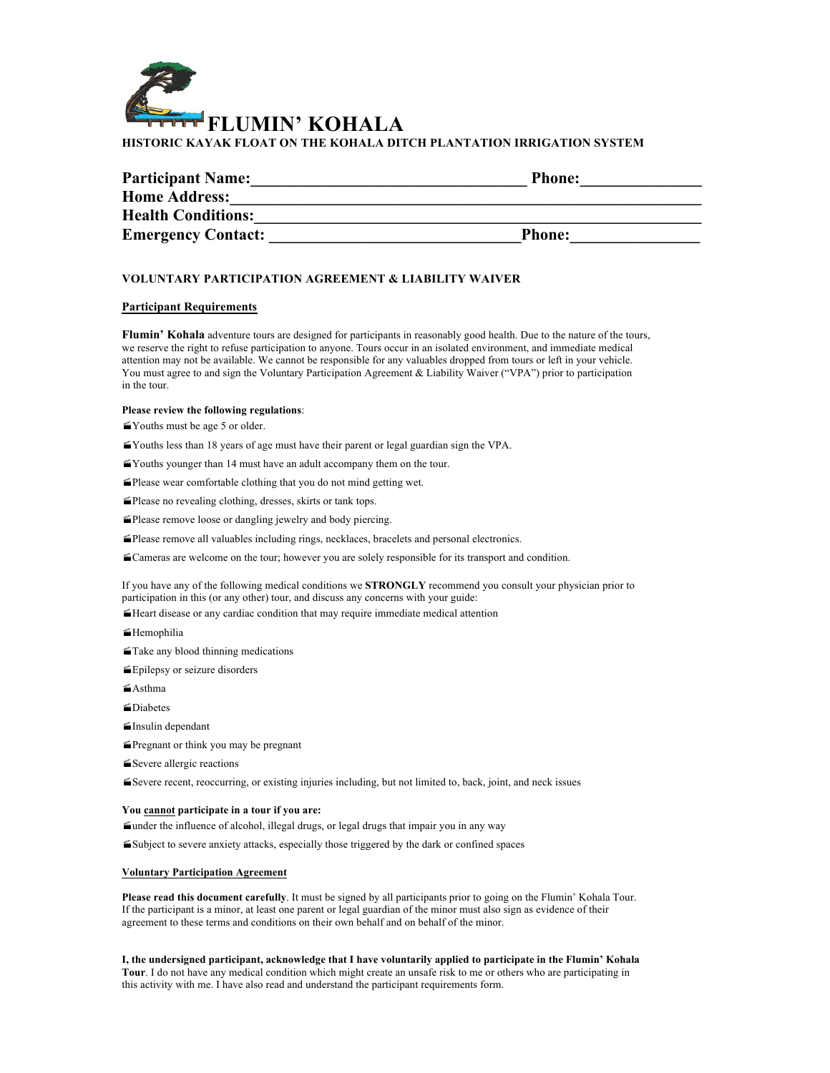

| <b>Participant Name:</b>  | <b>Phone:</b> |
|---------------------------|---------------|
| <b>Home Address:</b>      |               |
| <b>Health Conditions:</b> |               |
| <b>Emergency Contact:</b> | <b>Phone:</b> |

# **VOLUNTARY PARTICIPATION AGREEMENT & LIABILITY WAIVER**

## **Participant Requirements**

**Flumin' Kohala** adventure tours are designed for participants in reasonably good health. Due to the nature of the tours, we reserve the right to refuse participation to anyone. Tours occur in an isolated environment, and immediate medical attention may not be available. We cannot be responsible for any valuables dropped from tours or left in your vehicle. You must agree to and sign the Voluntary Participation Agreement & Liability Waiver ("VPA") prior to participation in the tour.

#### **Please review the following regulations**:

- $\leq$ Youths must be age 5 or older.
- ·Youths less than 18 years of age must have their parent or legal guardian sign the VPA.
- ·Youths younger than 14 must have an adult accompany them on the tour.
- $\blacktriangle$ Please wear comfortable clothing that you do not mind getting wet.
- $\blacksquare$ Please no revealing clothing, dresses, skirts or tank tops.
- ·Please remove loose or dangling jewelry and body piercing.
- ·Please remove all valuables including rings, necklaces, bracelets and personal electronics.
- ·Cameras are welcome on the tour; however you are solely responsible for its transport and condition.

If you have any of the following medical conditions we **STRONGLY** recommend you consult your physician prior to participation in this (or any other) tour, and discuss any concerns with your guide:

 $\blacktriangle$ Heart disease or any cardiac condition that may require immediate medical attention

- ·Hemophilia
- $\leq$ Take any blood thinning medications
- ·Epilepsy or seizure disorders
- $\leq$ Asthma
- ·Diabetes
- $\blacksquare$ Insulin dependant
- ·Pregnant or think you may be pregnant
- ■Severe allergic reactions

·Severe recent, reoccurring, or existing injuries including, but not limited to, back, joint, and neck issues

#### **You cannot participate in a tour if you are:**

·under the influence of alcohol, illegal drugs, or legal drugs that impair you in any way

 $\leq$ Subject to severe anxiety attacks, especially those triggered by the dark or confined spaces

### **Voluntary Participation Agreement**

**Please read this document carefully**. It must be signed by all participants prior to going on the Flumin' Kohala Tour. If the participant is a minor, at least one parent or legal guardian of the minor must also sign as evidence of their agreement to these terms and conditions on their own behalf and on behalf of the minor.

**I, the undersigned participant, acknowledge that I have voluntarily applied to participate in the Flumin' Kohala Tour**. I do not have any medical condition which might create an unsafe risk to me or others who are participating in this activity with me. I have also read and understand the participant requirements form.